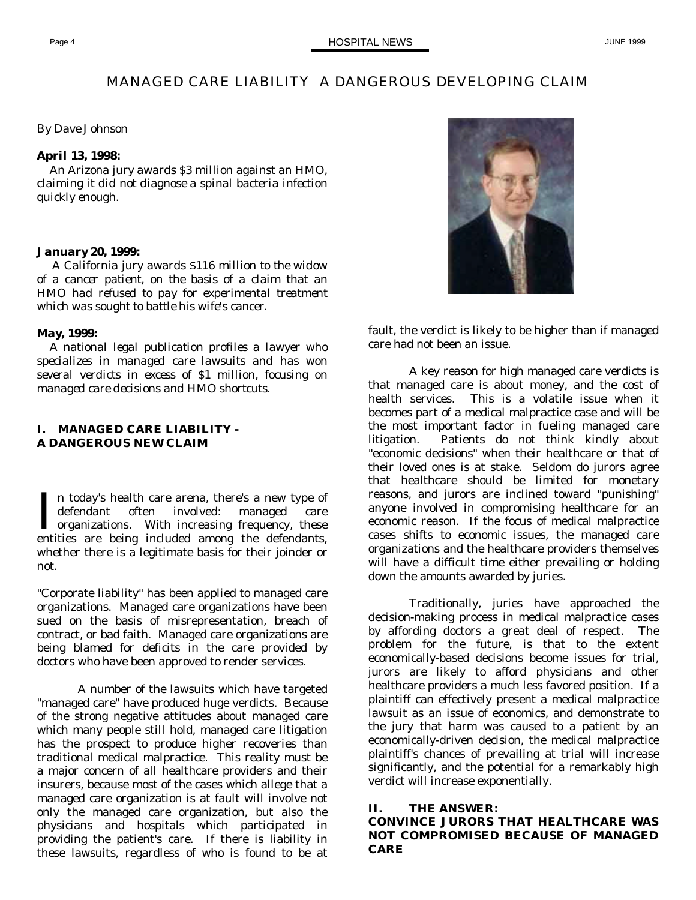# MANAGED CARE LIABILITY A DANGEROUS DEVELOPING CLAIM

*By Dave Johnson*

## *April 13, 1998:*

 *An Arizona jury awards \$3 million against an HMO, claiming it did not diagnose a spinal bacteria infection quickly enough.*

#### *January 20, 1999:*

 *A California jury awards \$116 million to the widow of a cancer patient, on the basis of a claim that an HMO had refused to pay for experimental treatment which was sought to battle his wife's cancer.*

### *May, 1999:*

 *A national legal publication profiles a lawyer who specializes in managed care lawsuits and has won several verdicts in excess of \$1 million, focusing on managed care decisions and HMO shortcuts.*

## **I. MANAGED CARE LIABILITY - A DANGEROUS NEW CLAIM**

n today's health care arena, there's a new type of defendant often involved: managed care In today's health care arena, there's a new type of<br>defendant often involved: managed care<br>organizations. With increasing frequency, these entities are being included among the defendants, whether there is a legitimate basis for their joinder or not.

"Corporate liability" has been applied to managed care organizations. Managed care organizations have been sued on the basis of misrepresentation, breach of contract, or bad faith. Managed care organizations are being blamed for deficits in the care provided by doctors who have been approved to render services.

A number of the lawsuits which have targeted "managed care" have produced huge verdicts. Because of the strong negative attitudes about managed care which many people still hold, managed care litigation has the prospect to produce higher recoveries than traditional medical malpractice. This reality must be a major concern of all healthcare providers and their insurers, because most of the cases which allege that a managed care organization is at fault will involve not only the managed care organization, but also the physicians and hospitals which participated in providing the patient's care. If there is liability in these lawsuits, regardless of who is found to be at



fault, the verdict is likely to be higher than if managed care had not been an issue.

A key reason for high managed care verdicts is that managed care is about money, and the cost of health services. This is a volatile issue when it becomes part of a medical malpractice case and will be the most important factor in fueling managed care litigation. Patients do not think kindly about "economic decisions" when their healthcare or that of their loved ones is at stake. Seldom do jurors agree that healthcare should be limited for monetary reasons, and jurors are inclined toward "punishing" anyone involved in compromising healthcare for an economic reason. If the focus of medical malpractice cases shifts to economic issues, the managed care organizations and the healthcare providers themselves will have a difficult time either prevailing or holding down the amounts awarded by juries.

Traditionally, juries have approached the decision-making process in medical malpractice cases by affording doctors a great deal of respect. The problem for the future, is that to the extent economically-based decisions become issues for trial, jurors are likely to afford physicians and other healthcare providers a much less favored position. If a plaintiff can effectively present a medical malpractice lawsuit as an issue of economics, and demonstrate to the jury that harm was caused to a patient by an economically-driven decision, the medical malpractice plaintiff's chances of prevailing at trial will increase significantly, and the potential for a remarkably high verdict will increase exponentially.

### **II. THE ANSWER:**

## **CONVINCE JURORS THAT HEALTHCARE WAS NOT COMPROMISED BECAUSE OF MANAGED CARE**